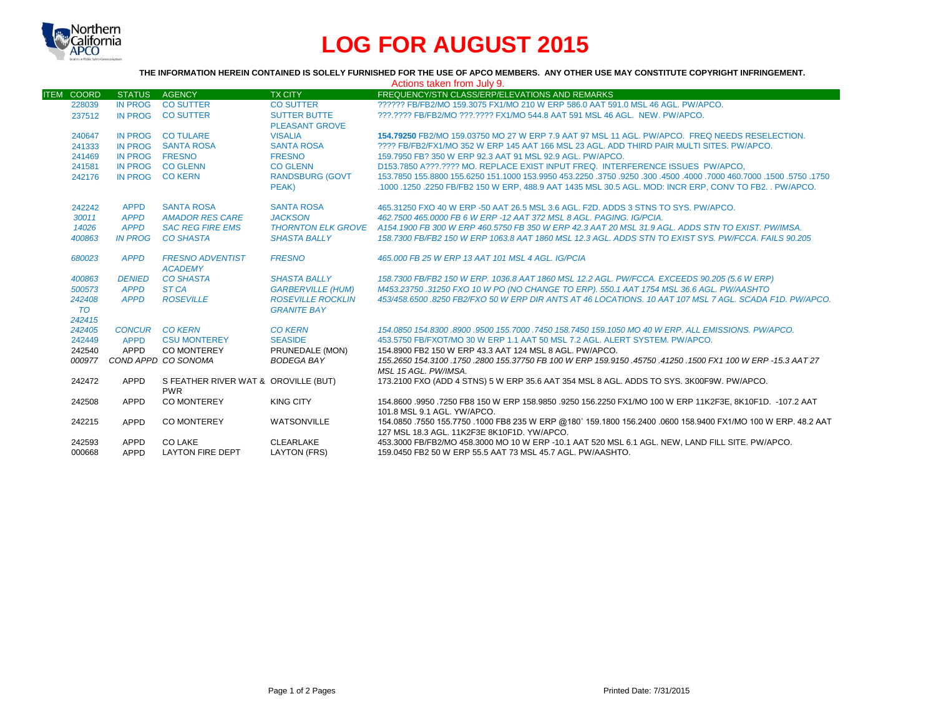

# **LOG FOR AUGUST 2015**

### **THE INFORMATION HEREIN CONTAINED IS SOLELY FURNISHED FOR THE USE OF APCO MEMBERS. ANY OTHER USE MAY CONSTITUTE COPYRIGHT INFRINGEMENT.**

| Actions taken from July 9. |                 |                                                    |                          |                                                                                                                                                              |  |  |  |
|----------------------------|-----------------|----------------------------------------------------|--------------------------|--------------------------------------------------------------------------------------------------------------------------------------------------------------|--|--|--|
| <b>ITEM COORD</b>          | <b>STATUS</b>   | AGENCY                                             | <b>TX CITY</b>           | FREQUENCY/STN CLASS/ERP/ELEVATIONS AND REMARKS                                                                                                               |  |  |  |
| 228039                     | <b>IN PROG</b>  | <b>CO SUTTER</b>                                   | <b>CO SUTTER</b>         | ?????? FB/FB2/MO 159.3075 FX1/MO 210 W ERP 586.0 AAT 591.0 MSL 46 AGL, PW/APCO.                                                                              |  |  |  |
| 237512                     |                 | IN PROG CO SUTTER                                  | <b>SUTTER BUTTE</b>      | ???.???? FB/FB2/MO ???.???? FX1/MO 544.8 AAT 591 MSL 46 AGL. NEW. PW/APCO.                                                                                   |  |  |  |
|                            |                 |                                                    | <b>PLEASANT GROVE</b>    |                                                                                                                                                              |  |  |  |
| 240647                     |                 | IN PROG CO TULARE                                  | <b>VISALIA</b>           | 154.79250 FB2/MO 159.03750 MO 27 W ERP 7.9 AAT 97 MSL 11 AGL, PW/APCO. FREQ NEEDS RESELECTION.                                                               |  |  |  |
| 241333                     | <b>IN PROG</b>  | <b>SANTA ROSA</b>                                  | <b>SANTA ROSA</b>        | ???? FB/FB2/FX1/MO 352 W ERP 145 AAT 166 MSL 23 AGL. ADD THIRD PAIR MULTI SITES, PW/APCO.                                                                    |  |  |  |
| 241469                     | IN PROG FRESNO  |                                                    | <b>FRESNO</b>            | 159.7950 FB? 350 W ERP 92.3 AAT 91 MSL 92.9 AGL, PW/APCO.                                                                                                    |  |  |  |
| 241581                     | <b>IN PROG</b>  | <b>CO GLENN</b>                                    | <b>CO GLENN</b>          | D153.7850 A???.???? MO. REPLACE EXIST INPUT FREQ. INTERFERENCE ISSUES PW/APCO,                                                                               |  |  |  |
| 242176                     | IN PROG CO KERN |                                                    | <b>RANDSBURG (GOVT</b>   | 1750. 1750. 1600. 7000 460.7000 7000 7000 460.7000 9250. 1750. 453.2250 950. 163.7850 155.8800 155.6250 151.1000 153.9950                                    |  |  |  |
|                            |                 |                                                    | PEAK)                    | .1000 .1250 .2250 FB/FB2 150 W ERP, 488.9 AAT 1435 MSL 30.5 AGL. MOD: INCR ERP, CONV TO FB2. . PW/APCO.                                                      |  |  |  |
| 242242                     | <b>APPD</b>     | <b>SANTA ROSA</b>                                  | <b>SANTA ROSA</b>        | 465,31250 FXO 40 W ERP -50 AAT 26.5 MSL 3.6 AGL, F2D, ADDS 3 STNS TO SYS, PW/APCO,                                                                           |  |  |  |
| 30011                      | <b>APPD</b>     | <b>AMADOR RES CARE</b>                             | <b>JACKSON</b>           | 462.7500 465.0000 FB 6 W ERP -12 AAT 372 MSL 8 AGL, PAGING, IG/PCIA.                                                                                         |  |  |  |
| 14026                      | <b>APPD</b>     | <b>SAC REG FIRE EMS</b>                            |                          | THORNTON ELK GROVE A154.1900 FB 300 W ERP 460.5750 FB 350 W ERP 42.3 AAT 20 MSL 31.9 AGL. ADDS STN TO EXIST. PW/IMSA.                                        |  |  |  |
| 400863                     | <b>IN PROG</b>  | <b>CO SHASTA</b>                                   | <b>SHASTA BALLY</b>      | 158.7300 FB/FB2 150 W ERP 1063.8 AAT 1860 MSL 12.3 AGL. ADDS STN TO EXIST SYS. PW/FCCA. FAILS 90.205                                                         |  |  |  |
| 680023                     | <b>APPD</b>     | <b>FRESNO ADVENTIST</b><br><b>ACADEMY</b>          | <b>FRESNO</b>            | 465,000 FB 25 W ERP 13 AAT 101 MSL 4 AGL. IG/PCIA                                                                                                            |  |  |  |
| 400863                     | <b>DENIED</b>   | <b>CO SHASTA</b>                                   | <b>SHASTA BALLY</b>      | 158.7300 FB/FB2 150 W ERP. 1036.8 AAT 1860 MSL 12.2 AGL. PW/FCCA. EXCEEDS 90.205 (5.6 W ERP)                                                                 |  |  |  |
| 500573                     | <b>APPD</b>     | ST <sub>CA</sub>                                   | <b>GARBERVILLE (HUM)</b> | M453.23750 .31250 FXO 10 W PO (NO CHANGE TO ERP). 550.1 AAT 1754 MSL 36.6 AGL. PW/AASHTO                                                                     |  |  |  |
| 242408                     | <b>APPD</b>     | <b>ROSEVILLE</b>                                   | <b>ROSEVILLE ROCKLIN</b> | 453/458.6500.8250 FB2/FXO 50 W ERP DIR ANTS AT 46 LOCATIONS. 10 AAT 107 MSL 7 AGL. SCADA F1D, PW/APCO,                                                       |  |  |  |
| <b>TO</b>                  |                 |                                                    | <b>GRANITE BAY</b>       |                                                                                                                                                              |  |  |  |
| 242415                     |                 |                                                    |                          |                                                                                                                                                              |  |  |  |
| 242405                     | CONCUR CO KERN  |                                                    | <b>CO KERN</b>           | 154.0850 154.8300 .8900 .9500 155.7000 .7450 158.7450 159.1050 MO 40 W ERP. ALL EMISSIONS. PW/APCO.                                                          |  |  |  |
| 242449                     | <b>APPD</b>     | <b>CSU MONTEREY</b>                                | <b>SEASIDE</b>           | 453,5750 FB/FXOT/MO 30 W ERP 1.1 AAT 50 MSL 7.2 AGL. ALERT SYSTEM, PW/APCO.                                                                                  |  |  |  |
| 242540                     | APPD            | <b>CO MONTEREY</b>                                 | PRUNEDALE (MON)          | 154,8900 FB2 150 W ERP 43.3 AAT 124 MSL 8 AGL, PW/APCO.                                                                                                      |  |  |  |
|                            |                 | 000977 COND APPD CO SONOMA                         | <b>BODEGA BAY</b>        | 155.2650 154.3100 .1750 .2800 155.37750 FB 100 W ERP 159.9150 .45750 .41250 .1500 FX1 100 W ERP -15.3 AAT 27<br>MSL 15 AGL. PW/IMSA.                         |  |  |  |
| 242472                     | <b>APPD</b>     | S FEATHER RIVER WAT & OROVILLE (BUT)<br><b>PWR</b> |                          | 173.2100 FXO (ADD 4 STNS) 5 W ERP 35.6 AAT 354 MSL 8 AGL. ADDS TO SYS. 3K00F9W. PW/APCO.                                                                     |  |  |  |
| 242508                     | <b>APPD</b>     | <b>CO MONTEREY</b>                                 | <b>KING CITY</b>         | 154.8600 .9950 .7250 FB8 150 W ERP 158.9850 .9250 156.2250 FX1/MO 100 W ERP 11K2F3E, 8K10F1D. -107.2 AAT<br>101.8 MSL 9.1 AGL, YW/APCO.                      |  |  |  |
| 242215                     | APPD            | <b>CO MONTEREY</b>                                 | WATSONVILLE              | 154.0850 .7550 155.7750 .1000 FB8 235 W ERP @180° 159.1800 156.2400 .0600 158.9400 FX1/MO 100 W ERP. 48.2 AAT<br>127 MSL 18.3 AGL, 11K2F3E 8K10F1D, YW/APCO, |  |  |  |
| 242593                     | APPD            | <b>CO LAKE</b>                                     | CLEARLAKE                | 453.3000 FB/FB2/MO 458.3000 MO 10 W ERP -10.1 AAT 520 MSL 6.1 AGL. NEW, LAND FILL SITE. PW/APCO.                                                             |  |  |  |
| 000668                     | APPD            | <b>LAYTON FIRE DEPT</b>                            | LAYTON (FRS)             | 159.0450 FB2 50 W ERP 55.5 AAT 73 MSL 45.7 AGL, PW/AASHTO.                                                                                                   |  |  |  |
|                            |                 |                                                    |                          |                                                                                                                                                              |  |  |  |